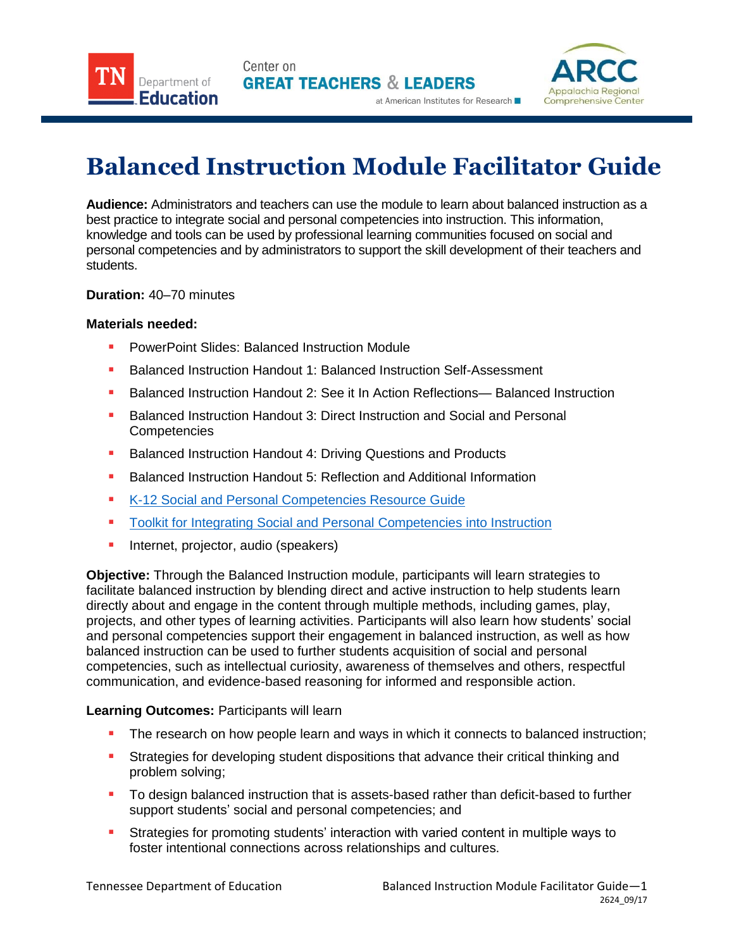Center on **GREAT TEACHERS & LEADERS** 



## **Balanced Instruction Module Facilitator Guide**

at American Institutes for Research ■

**Audience:** Administrators and teachers can use the module to learn about balanced instruction as a best practice to integrate social and personal competencies into instruction. This information, knowledge and tools can be used by professional learning communities focused on social and personal competencies and by administrators to support the skill development of their teachers and students.

**Duration:** 40–70 minutes

Department of **Education** 

## **Materials needed:**

- PowerPoint Slides: Balanced Instruction Module
- Balanced Instruction Handout 1: Balanced Instruction Self-Assessment
- Balanced Instruction Handout 2: See it In Action Reflections— Balanced Instruction
- **Balanced Instruction Handout 3: Direct Instruction and Social and Personal Competencies**
- **Balanced Instruction Handout 4: Driving Questions and Products**
- **Balanced Instruction Handout 5: Reflection and Additional Information**
- [K-12 Social and Personal Competencies Resource Guide](https://www.tn.gov/content/dam/tn/education/safety/safe_sch/SPC_Resource_Guide.pdf)
- [Toolkit for Integrating Social and Personal Competencies into Instruction](https://www.tn.gov/content/dam/tn/education/safety/safe_sch/safe_sch_se_toolkit.pdf)
- **Internet, projector, audio (speakers)**

**Objective:** Through the Balanced Instruction module, participants will learn strategies to facilitate balanced instruction by blending direct and active instruction to help students learn directly about and engage in the content through multiple methods, including games, play, projects, and other types of learning activities. Participants will also learn how students' social and personal competencies support their engagement in balanced instruction, as well as how balanced instruction can be used to further students acquisition of social and personal competencies, such as intellectual curiosity, awareness of themselves and others, respectful communication, and evidence-based reasoning for informed and responsible action.

## **Learning Outcomes:** Participants will learn

- The research on how people learn and ways in which it connects to balanced instruction;
- Strategies for developing student dispositions that advance their critical thinking and problem solving;
- To design balanced instruction that is assets-based rather than deficit-based to further support students' social and personal competencies; and
- Strategies for promoting students' interaction with varied content in multiple ways to foster intentional connections across relationships and cultures.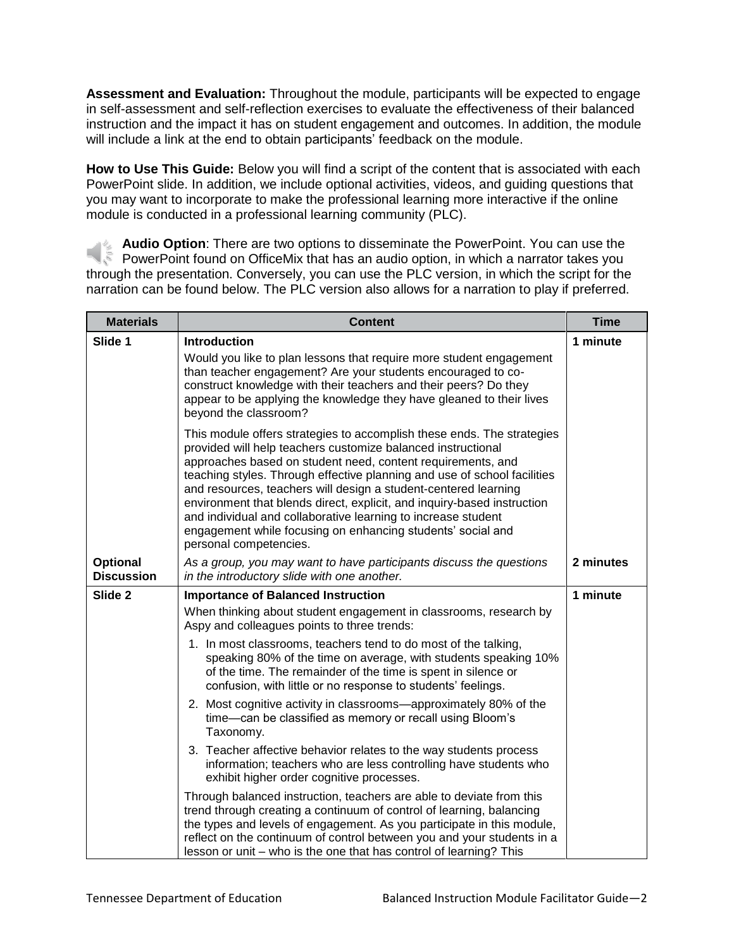**Assessment and Evaluation:** Throughout the module, participants will be expected to engage in self-assessment and self-reflection exercises to evaluate the effectiveness of their balanced instruction and the impact it has on student engagement and outcomes. In addition, the module will include a link at the end to obtain participants' feedback on the module.

**How to Use This Guide:** Below you will find a script of the content that is associated with each PowerPoint slide. In addition, we include optional activities, videos, and guiding questions that you may want to incorporate to make the professional learning more interactive if the online module is conducted in a professional learning community (PLC).

**Audio Option**: There are two options to disseminate the PowerPoint. You can use the PowerPoint found on OfficeMix that has an audio option, in which a narrator takes you through the presentation. Conversely, you can use the PLC version, in which the script for the narration can be found below. The PLC version also allows for a narration to play if preferred.

| <b>Content</b>                                                                                                                                                                                                                                                                                                                                                                                                                                                                                                                                                                                                                                                                                                                                                                                                                                                                                                                                        | <b>Time</b>                                                                                                                                                                               |
|-------------------------------------------------------------------------------------------------------------------------------------------------------------------------------------------------------------------------------------------------------------------------------------------------------------------------------------------------------------------------------------------------------------------------------------------------------------------------------------------------------------------------------------------------------------------------------------------------------------------------------------------------------------------------------------------------------------------------------------------------------------------------------------------------------------------------------------------------------------------------------------------------------------------------------------------------------|-------------------------------------------------------------------------------------------------------------------------------------------------------------------------------------------|
| <b>Introduction</b><br>Would you like to plan lessons that require more student engagement<br>than teacher engagement? Are your students encouraged to co-<br>construct knowledge with their teachers and their peers? Do they<br>appear to be applying the knowledge they have gleaned to their lives<br>beyond the classroom?<br>This module offers strategies to accomplish these ends. The strategies<br>provided will help teachers customize balanced instructional<br>approaches based on student need, content requirements, and<br>teaching styles. Through effective planning and use of school facilities<br>and resources, teachers will design a student-centered learning<br>environment that blends direct, explicit, and inquiry-based instruction<br>and individual and collaborative learning to increase student<br>engagement while focusing on enhancing students' social and<br>personal competencies.                          | 1 minute                                                                                                                                                                                  |
| As a group, you may want to have participants discuss the questions<br>in the introductory slide with one another.                                                                                                                                                                                                                                                                                                                                                                                                                                                                                                                                                                                                                                                                                                                                                                                                                                    | 2 minutes                                                                                                                                                                                 |
| When thinking about student engagement in classrooms, research by<br>Aspy and colleagues points to three trends:<br>1. In most classrooms, teachers tend to do most of the talking,<br>speaking 80% of the time on average, with students speaking 10%<br>of the time. The remainder of the time is spent in silence or<br>confusion, with little or no response to students' feelings.<br>2. Most cognitive activity in classrooms—approximately 80% of the<br>time-can be classified as memory or recall using Bloom's<br>Taxonomy.<br>3. Teacher affective behavior relates to the way students process<br>information; teachers who are less controlling have students who<br>exhibit higher order cognitive processes.<br>Through balanced instruction, teachers are able to deviate from this<br>trend through creating a continuum of control of learning, balancing<br>the types and levels of engagement. As you participate in this module, | 1 minute                                                                                                                                                                                  |
|                                                                                                                                                                                                                                                                                                                                                                                                                                                                                                                                                                                                                                                                                                                                                                                                                                                                                                                                                       | <b>Importance of Balanced Instruction</b><br>reflect on the continuum of control between you and your students in a<br>lesson or unit – who is the one that has control of learning? This |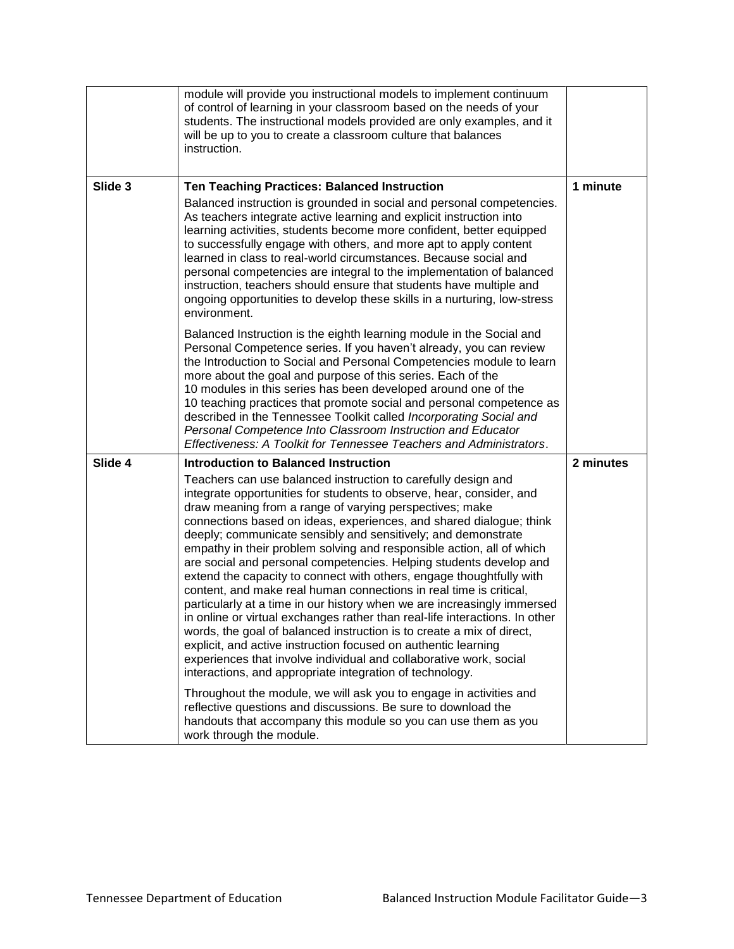|         | module will provide you instructional models to implement continuum<br>of control of learning in your classroom based on the needs of your<br>students. The instructional models provided are only examples, and it<br>will be up to you to create a classroom culture that balances<br>instruction.                                                                                                                                                                                                                                                                                                                                                                                                                                                                                                                                                                                                                                                                                                                                                                                                                                                                                              |           |
|---------|---------------------------------------------------------------------------------------------------------------------------------------------------------------------------------------------------------------------------------------------------------------------------------------------------------------------------------------------------------------------------------------------------------------------------------------------------------------------------------------------------------------------------------------------------------------------------------------------------------------------------------------------------------------------------------------------------------------------------------------------------------------------------------------------------------------------------------------------------------------------------------------------------------------------------------------------------------------------------------------------------------------------------------------------------------------------------------------------------------------------------------------------------------------------------------------------------|-----------|
| Slide 3 | <b>Ten Teaching Practices: Balanced Instruction</b><br>Balanced instruction is grounded in social and personal competencies.<br>As teachers integrate active learning and explicit instruction into<br>learning activities, students become more confident, better equipped<br>to successfully engage with others, and more apt to apply content<br>learned in class to real-world circumstances. Because social and<br>personal competencies are integral to the implementation of balanced<br>instruction, teachers should ensure that students have multiple and<br>ongoing opportunities to develop these skills in a nurturing, low-stress<br>environment.                                                                                                                                                                                                                                                                                                                                                                                                                                                                                                                                   | 1 minute  |
|         | Balanced Instruction is the eighth learning module in the Social and<br>Personal Competence series. If you haven't already, you can review<br>the Introduction to Social and Personal Competencies module to learn<br>more about the goal and purpose of this series. Each of the<br>10 modules in this series has been developed around one of the<br>10 teaching practices that promote social and personal competence as<br>described in the Tennessee Toolkit called Incorporating Social and<br>Personal Competence Into Classroom Instruction and Educator<br>Effectiveness: A Toolkit for Tennessee Teachers and Administrators.                                                                                                                                                                                                                                                                                                                                                                                                                                                                                                                                                           |           |
| Slide 4 | <b>Introduction to Balanced Instruction</b><br>Teachers can use balanced instruction to carefully design and<br>integrate opportunities for students to observe, hear, consider, and<br>draw meaning from a range of varying perspectives; make<br>connections based on ideas, experiences, and shared dialogue; think<br>deeply; communicate sensibly and sensitively; and demonstrate<br>empathy in their problem solving and responsible action, all of which<br>are social and personal competencies. Helping students develop and<br>extend the capacity to connect with others, engage thoughtfully with<br>content, and make real human connections in real time is critical,<br>particularly at a time in our history when we are increasingly immersed<br>in online or virtual exchanges rather than real-life interactions. In other<br>words, the goal of balanced instruction is to create a mix of direct,<br>explicit, and active instruction focused on authentic learning<br>experiences that involve individual and collaborative work, social<br>interactions, and appropriate integration of technology.<br>Throughout the module, we will ask you to engage in activities and | 2 minutes |
|         | reflective questions and discussions. Be sure to download the<br>handouts that accompany this module so you can use them as you<br>work through the module.                                                                                                                                                                                                                                                                                                                                                                                                                                                                                                                                                                                                                                                                                                                                                                                                                                                                                                                                                                                                                                       |           |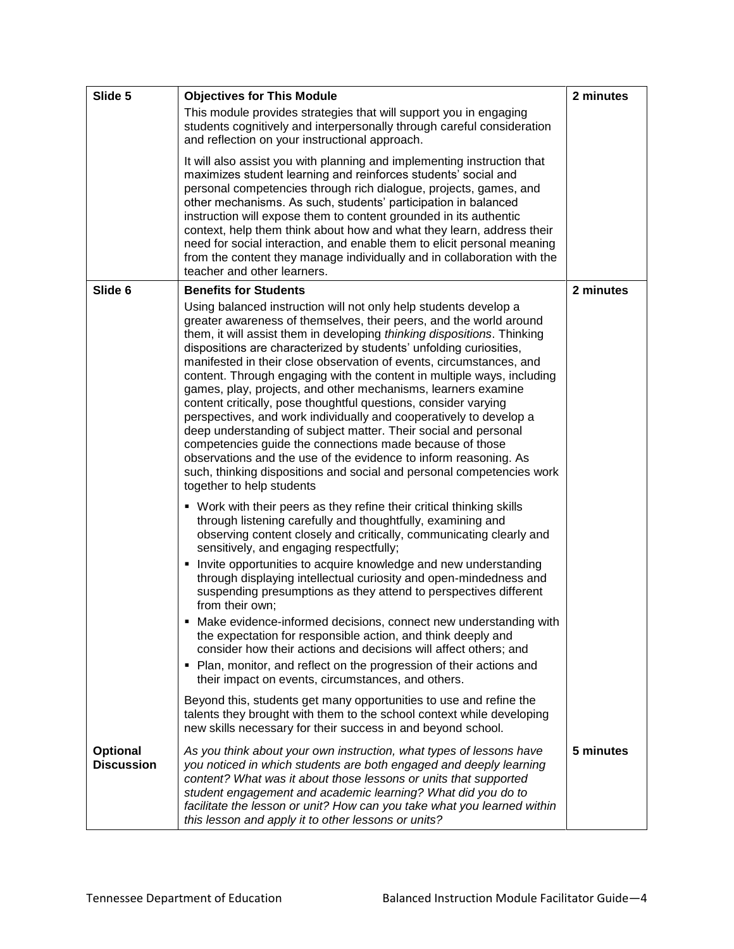| Slide 5                              | <b>Objectives for This Module</b>                                                                                                                                                                                                                                                                                                                                                                                                                                                                                                                                                                                                                                                                                                                                                                                                                                                                                                                           | 2 minutes |
|--------------------------------------|-------------------------------------------------------------------------------------------------------------------------------------------------------------------------------------------------------------------------------------------------------------------------------------------------------------------------------------------------------------------------------------------------------------------------------------------------------------------------------------------------------------------------------------------------------------------------------------------------------------------------------------------------------------------------------------------------------------------------------------------------------------------------------------------------------------------------------------------------------------------------------------------------------------------------------------------------------------|-----------|
|                                      | This module provides strategies that will support you in engaging<br>students cognitively and interpersonally through careful consideration<br>and reflection on your instructional approach.                                                                                                                                                                                                                                                                                                                                                                                                                                                                                                                                                                                                                                                                                                                                                               |           |
|                                      | It will also assist you with planning and implementing instruction that<br>maximizes student learning and reinforces students' social and<br>personal competencies through rich dialogue, projects, games, and<br>other mechanisms. As such, students' participation in balanced<br>instruction will expose them to content grounded in its authentic<br>context, help them think about how and what they learn, address their<br>need for social interaction, and enable them to elicit personal meaning<br>from the content they manage individually and in collaboration with the<br>teacher and other learners.                                                                                                                                                                                                                                                                                                                                         |           |
| Slide 6                              | <b>Benefits for Students</b>                                                                                                                                                                                                                                                                                                                                                                                                                                                                                                                                                                                                                                                                                                                                                                                                                                                                                                                                | 2 minutes |
|                                      | Using balanced instruction will not only help students develop a<br>greater awareness of themselves, their peers, and the world around<br>them, it will assist them in developing thinking dispositions. Thinking<br>dispositions are characterized by students' unfolding curiosities,<br>manifested in their close observation of events, circumstances, and<br>content. Through engaging with the content in multiple ways, including<br>games, play, projects, and other mechanisms, learners examine<br>content critically, pose thoughtful questions, consider varying<br>perspectives, and work individually and cooperatively to develop a<br>deep understanding of subject matter. Their social and personal<br>competencies guide the connections made because of those<br>observations and the use of the evidence to inform reasoning. As<br>such, thinking dispositions and social and personal competencies work<br>together to help students |           |
|                                      | • Work with their peers as they refine their critical thinking skills<br>through listening carefully and thoughtfully, examining and<br>observing content closely and critically, communicating clearly and<br>sensitively, and engaging respectfully;<br>• Invite opportunities to acquire knowledge and new understanding<br>through displaying intellectual curiosity and open-mindedness and<br>suspending presumptions as they attend to perspectives different<br>from their own;<br>Make evidence-informed decisions, connect new understanding with                                                                                                                                                                                                                                                                                                                                                                                                 |           |
|                                      | the expectation for responsible action, and think deeply and<br>consider how their actions and decisions will affect others; and<br>• Plan, monitor, and reflect on the progression of their actions and<br>their impact on events, circumstances, and others.                                                                                                                                                                                                                                                                                                                                                                                                                                                                                                                                                                                                                                                                                              |           |
|                                      | Beyond this, students get many opportunities to use and refine the<br>talents they brought with them to the school context while developing<br>new skills necessary for their success in and beyond school.                                                                                                                                                                                                                                                                                                                                                                                                                                                                                                                                                                                                                                                                                                                                                 |           |
| <b>Optional</b><br><b>Discussion</b> | As you think about your own instruction, what types of lessons have<br>you noticed in which students are both engaged and deeply learning<br>content? What was it about those lessons or units that supported<br>student engagement and academic learning? What did you do to<br>facilitate the lesson or unit? How can you take what you learned within<br>this lesson and apply it to other lessons or units?                                                                                                                                                                                                                                                                                                                                                                                                                                                                                                                                             | 5 minutes |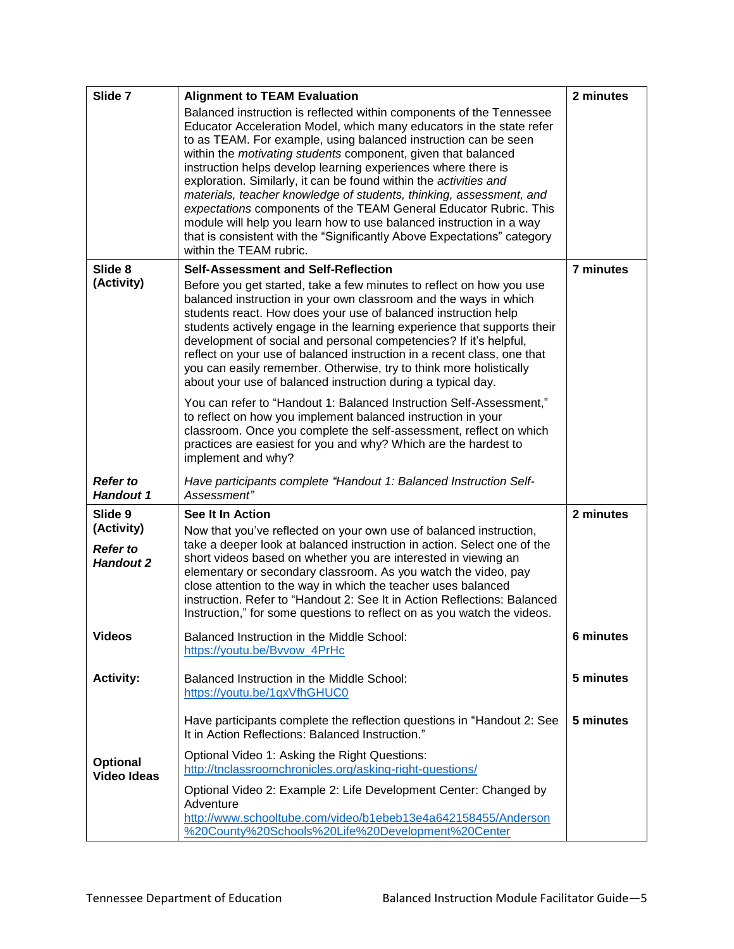| Slide 7                                                      | <b>Alignment to TEAM Evaluation</b>                                                                                                                                                                                                                                                                                                                                                                                                                                                                                                                                                                                                                                                                                                                    | 2 minutes |
|--------------------------------------------------------------|--------------------------------------------------------------------------------------------------------------------------------------------------------------------------------------------------------------------------------------------------------------------------------------------------------------------------------------------------------------------------------------------------------------------------------------------------------------------------------------------------------------------------------------------------------------------------------------------------------------------------------------------------------------------------------------------------------------------------------------------------------|-----------|
|                                                              | Balanced instruction is reflected within components of the Tennessee<br>Educator Acceleration Model, which many educators in the state refer<br>to as TEAM. For example, using balanced instruction can be seen<br>within the <i>motivating students</i> component, given that balanced<br>instruction helps develop learning experiences where there is<br>exploration. Similarly, it can be found within the activities and<br>materials, teacher knowledge of students, thinking, assessment, and<br>expectations components of the TEAM General Educator Rubric. This<br>module will help you learn how to use balanced instruction in a way<br>that is consistent with the "Significantly Above Expectations" category<br>within the TEAM rubric. |           |
| Slide 8                                                      | <b>Self-Assessment and Self-Reflection</b>                                                                                                                                                                                                                                                                                                                                                                                                                                                                                                                                                                                                                                                                                                             | 7 minutes |
| (Activity)                                                   | Before you get started, take a few minutes to reflect on how you use<br>balanced instruction in your own classroom and the ways in which<br>students react. How does your use of balanced instruction help<br>students actively engage in the learning experience that supports their<br>development of social and personal competencies? If it's helpful,<br>reflect on your use of balanced instruction in a recent class, one that<br>you can easily remember. Otherwise, try to think more holistically<br>about your use of balanced instruction during a typical day.                                                                                                                                                                            |           |
|                                                              | You can refer to "Handout 1: Balanced Instruction Self-Assessment,"<br>to reflect on how you implement balanced instruction in your<br>classroom. Once you complete the self-assessment, reflect on which<br>practices are easiest for you and why? Which are the hardest to<br>implement and why?                                                                                                                                                                                                                                                                                                                                                                                                                                                     |           |
| <b>Refer to</b><br><b>Handout 1</b>                          | Have participants complete "Handout 1: Balanced Instruction Self-<br>Assessment"                                                                                                                                                                                                                                                                                                                                                                                                                                                                                                                                                                                                                                                                       |           |
| Slide 9<br>(Activity)<br><b>Refer to</b><br><b>Handout 2</b> | See It In Action<br>Now that you've reflected on your own use of balanced instruction,<br>take a deeper look at balanced instruction in action. Select one of the<br>short videos based on whether you are interested in viewing an<br>elementary or secondary classroom. As you watch the video, pay<br>close attention to the way in which the teacher uses balanced<br>instruction. Refer to "Handout 2: See It in Action Reflections: Balanced<br>Instruction," for some questions to reflect on as you watch the videos.                                                                                                                                                                                                                          | 2 minutes |
| <b>Videos</b>                                                | Balanced Instruction in the Middle School:<br>https://youtu.be/Bvvow_4PrHc                                                                                                                                                                                                                                                                                                                                                                                                                                                                                                                                                                                                                                                                             | 6 minutes |
| <b>Activity:</b>                                             | Balanced Instruction in the Middle School:<br>https://youtu.be/1qxVfhGHUC0                                                                                                                                                                                                                                                                                                                                                                                                                                                                                                                                                                                                                                                                             | 5 minutes |
| <b>Optional</b><br><b>Video Ideas</b>                        | Have participants complete the reflection questions in "Handout 2: See<br>It in Action Reflections: Balanced Instruction."<br>Optional Video 1: Asking the Right Questions:<br>http://tnclassroomchronicles.org/asking-right-questions/<br>Optional Video 2: Example 2: Life Development Center: Changed by<br>Adventure<br>http://www.schooltube.com/video/b1ebeb13e4a642158455/Anderson<br>%20County%20Schools%20Life%20Development%20Center                                                                                                                                                                                                                                                                                                         | 5 minutes |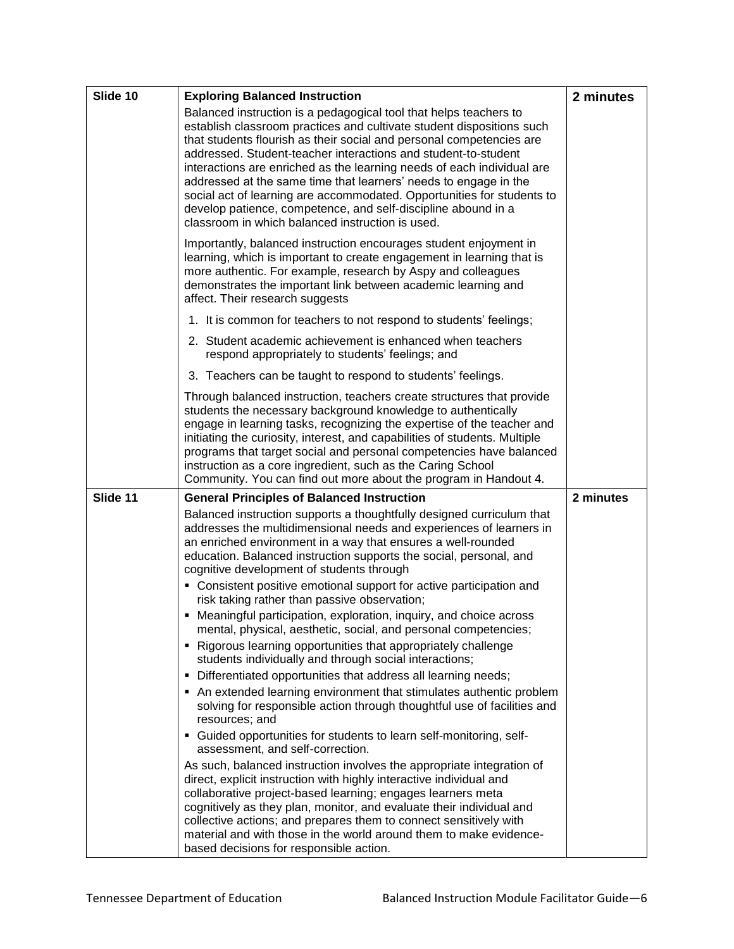| Slide 10 | <b>Exploring Balanced Instruction</b>                                                                                                                                                                                                                                                                                                                                                                                                                                                                                                                                                                                             | 2 minutes |
|----------|-----------------------------------------------------------------------------------------------------------------------------------------------------------------------------------------------------------------------------------------------------------------------------------------------------------------------------------------------------------------------------------------------------------------------------------------------------------------------------------------------------------------------------------------------------------------------------------------------------------------------------------|-----------|
|          | Balanced instruction is a pedagogical tool that helps teachers to<br>establish classroom practices and cultivate student dispositions such<br>that students flourish as their social and personal competencies are<br>addressed. Student-teacher interactions and student-to-student<br>interactions are enriched as the learning needs of each individual are<br>addressed at the same time that learners' needs to engage in the<br>social act of learning are accommodated. Opportunities for students to<br>develop patience, competence, and self-discipline abound in a<br>classroom in which balanced instruction is used. |           |
|          | Importantly, balanced instruction encourages student enjoyment in<br>learning, which is important to create engagement in learning that is<br>more authentic. For example, research by Aspy and colleagues<br>demonstrates the important link between academic learning and<br>affect. Their research suggests                                                                                                                                                                                                                                                                                                                    |           |
|          | 1. It is common for teachers to not respond to students' feelings;                                                                                                                                                                                                                                                                                                                                                                                                                                                                                                                                                                |           |
|          | 2. Student academic achievement is enhanced when teachers<br>respond appropriately to students' feelings; and                                                                                                                                                                                                                                                                                                                                                                                                                                                                                                                     |           |
|          | 3. Teachers can be taught to respond to students' feelings.                                                                                                                                                                                                                                                                                                                                                                                                                                                                                                                                                                       |           |
|          | Through balanced instruction, teachers create structures that provide<br>students the necessary background knowledge to authentically<br>engage in learning tasks, recognizing the expertise of the teacher and<br>initiating the curiosity, interest, and capabilities of students. Multiple<br>programs that target social and personal competencies have balanced<br>instruction as a core ingredient, such as the Caring School<br>Community. You can find out more about the program in Handout 4.                                                                                                                           |           |
| Slide 11 | <b>General Principles of Balanced Instruction</b>                                                                                                                                                                                                                                                                                                                                                                                                                                                                                                                                                                                 | 2 minutes |
|          | Balanced instruction supports a thoughtfully designed curriculum that<br>addresses the multidimensional needs and experiences of learners in<br>an enriched environment in a way that ensures a well-rounded<br>education. Balanced instruction supports the social, personal, and<br>cognitive development of students through                                                                                                                                                                                                                                                                                                   |           |
|          | • Consistent positive emotional support for active participation and<br>risk taking rather than passive observation;                                                                                                                                                                                                                                                                                                                                                                                                                                                                                                              |           |
|          | • Meaningful participation, exploration, inquiry, and choice across<br>mental, physical, aesthetic, social, and personal competencies;                                                                                                                                                                                                                                                                                                                                                                                                                                                                                            |           |
|          | • Rigorous learning opportunities that appropriately challenge<br>students individually and through social interactions;                                                                                                                                                                                                                                                                                                                                                                                                                                                                                                          |           |
|          | Differentiated opportunities that address all learning needs;<br>٠                                                                                                                                                                                                                                                                                                                                                                                                                                                                                                                                                                |           |
|          | • An extended learning environment that stimulates authentic problem<br>solving for responsible action through thoughtful use of facilities and<br>resources; and                                                                                                                                                                                                                                                                                                                                                                                                                                                                 |           |
|          | • Guided opportunities for students to learn self-monitoring, self-<br>assessment, and self-correction.                                                                                                                                                                                                                                                                                                                                                                                                                                                                                                                           |           |
|          | As such, balanced instruction involves the appropriate integration of<br>direct, explicit instruction with highly interactive individual and<br>collaborative project-based learning; engages learners meta<br>cognitively as they plan, monitor, and evaluate their individual and<br>collective actions; and prepares them to connect sensitively with<br>material and with those in the world around them to make evidence-<br>based decisions for responsible action.                                                                                                                                                         |           |
|          |                                                                                                                                                                                                                                                                                                                                                                                                                                                                                                                                                                                                                                   |           |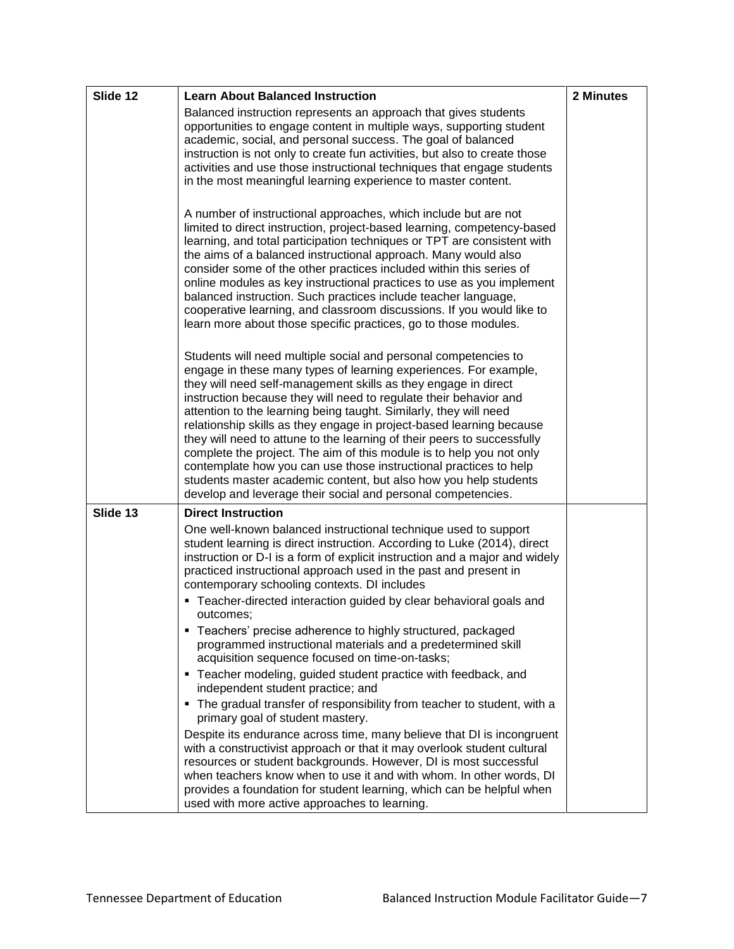| Slide 12 | <b>Learn About Balanced Instruction</b>                                                                                                                                                                                                                                                                                                                                                                                                                                                                                                                                                                                                                                                                                                                                             | 2 Minutes |
|----------|-------------------------------------------------------------------------------------------------------------------------------------------------------------------------------------------------------------------------------------------------------------------------------------------------------------------------------------------------------------------------------------------------------------------------------------------------------------------------------------------------------------------------------------------------------------------------------------------------------------------------------------------------------------------------------------------------------------------------------------------------------------------------------------|-----------|
|          | Balanced instruction represents an approach that gives students<br>opportunities to engage content in multiple ways, supporting student<br>academic, social, and personal success. The goal of balanced<br>instruction is not only to create fun activities, but also to create those<br>activities and use those instructional techniques that engage students<br>in the most meaningful learning experience to master content.                                                                                                                                                                                                                                                                                                                                                    |           |
|          | A number of instructional approaches, which include but are not<br>limited to direct instruction, project-based learning, competency-based<br>learning, and total participation techniques or TPT are consistent with<br>the aims of a balanced instructional approach. Many would also<br>consider some of the other practices included within this series of<br>online modules as key instructional practices to use as you implement<br>balanced instruction. Such practices include teacher language,<br>cooperative learning, and classroom discussions. If you would like to<br>learn more about those specific practices, go to those modules.                                                                                                                               |           |
|          | Students will need multiple social and personal competencies to<br>engage in these many types of learning experiences. For example,<br>they will need self-management skills as they engage in direct<br>instruction because they will need to regulate their behavior and<br>attention to the learning being taught. Similarly, they will need<br>relationship skills as they engage in project-based learning because<br>they will need to attune to the learning of their peers to successfully<br>complete the project. The aim of this module is to help you not only<br>contemplate how you can use those instructional practices to help<br>students master academic content, but also how you help students<br>develop and leverage their social and personal competencies. |           |
| Slide 13 | <b>Direct Instruction</b>                                                                                                                                                                                                                                                                                                                                                                                                                                                                                                                                                                                                                                                                                                                                                           |           |
|          | One well-known balanced instructional technique used to support<br>student learning is direct instruction. According to Luke (2014), direct<br>instruction or D-I is a form of explicit instruction and a major and widely<br>practiced instructional approach used in the past and present in<br>contemporary schooling contexts. DI includes                                                                                                                                                                                                                                                                                                                                                                                                                                      |           |
|          | • Teacher-directed interaction guided by clear behavioral goals and<br>outcomes;                                                                                                                                                                                                                                                                                                                                                                                                                                                                                                                                                                                                                                                                                                    |           |
|          | • Teachers' precise adherence to highly structured, packaged<br>programmed instructional materials and a predetermined skill<br>acquisition sequence focused on time-on-tasks;                                                                                                                                                                                                                                                                                                                                                                                                                                                                                                                                                                                                      |           |
|          | • Teacher modeling, guided student practice with feedback, and<br>independent student practice; and                                                                                                                                                                                                                                                                                                                                                                                                                                                                                                                                                                                                                                                                                 |           |
|          | • The gradual transfer of responsibility from teacher to student, with a<br>primary goal of student mastery.                                                                                                                                                                                                                                                                                                                                                                                                                                                                                                                                                                                                                                                                        |           |
|          | Despite its endurance across time, many believe that DI is incongruent<br>with a constructivist approach or that it may overlook student cultural<br>resources or student backgrounds. However, DI is most successful<br>when teachers know when to use it and with whom. In other words, DI<br>provides a foundation for student learning, which can be helpful when<br>used with more active approaches to learning.                                                                                                                                                                                                                                                                                                                                                              |           |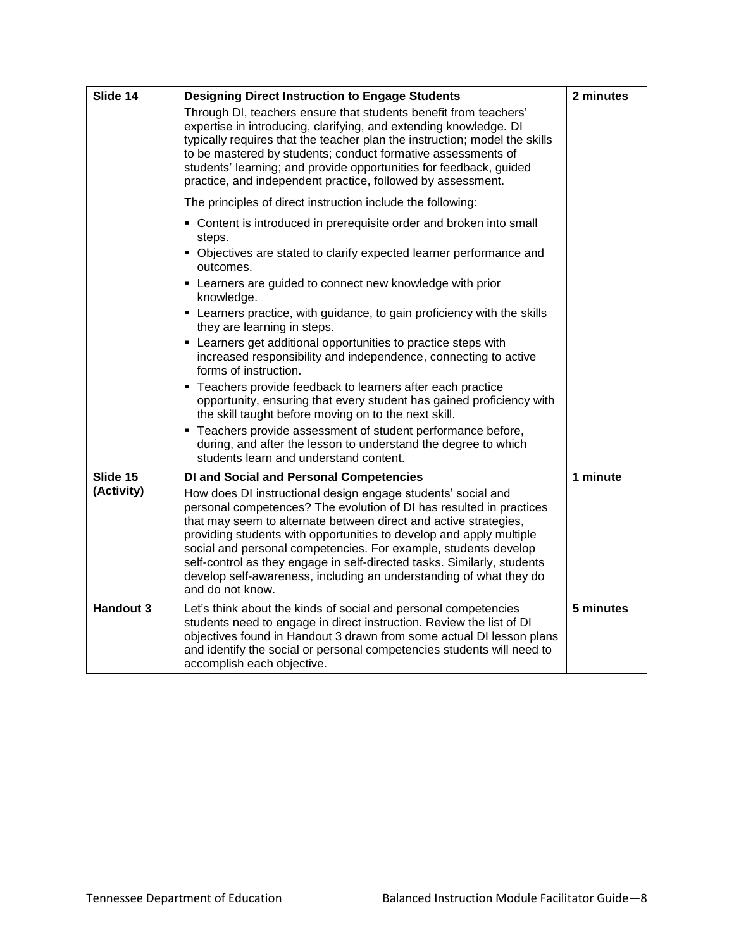| Slide 14         | <b>Designing Direct Instruction to Engage Students</b>                                                                                                                                                                                                                                                                                                                                                                                                                                                                 | 2 minutes |
|------------------|------------------------------------------------------------------------------------------------------------------------------------------------------------------------------------------------------------------------------------------------------------------------------------------------------------------------------------------------------------------------------------------------------------------------------------------------------------------------------------------------------------------------|-----------|
|                  | Through DI, teachers ensure that students benefit from teachers'<br>expertise in introducing, clarifying, and extending knowledge. DI<br>typically requires that the teacher plan the instruction; model the skills<br>to be mastered by students; conduct formative assessments of<br>students' learning; and provide opportunities for feedback, guided<br>practice, and independent practice, followed by assessment.                                                                                               |           |
|                  | The principles of direct instruction include the following:                                                                                                                                                                                                                                                                                                                                                                                                                                                            |           |
|                  | • Content is introduced in prerequisite order and broken into small<br>steps.                                                                                                                                                                                                                                                                                                                                                                                                                                          |           |
|                  | • Objectives are stated to clarify expected learner performance and<br>outcomes.                                                                                                                                                                                                                                                                                                                                                                                                                                       |           |
|                  | • Learners are guided to connect new knowledge with prior<br>knowledge.                                                                                                                                                                                                                                                                                                                                                                                                                                                |           |
|                  | • Learners practice, with guidance, to gain proficiency with the skills<br>they are learning in steps.                                                                                                                                                                                                                                                                                                                                                                                                                 |           |
|                  | • Learners get additional opportunities to practice steps with<br>increased responsibility and independence, connecting to active<br>forms of instruction.                                                                                                                                                                                                                                                                                                                                                             |           |
|                  | • Teachers provide feedback to learners after each practice<br>opportunity, ensuring that every student has gained proficiency with<br>the skill taught before moving on to the next skill.                                                                                                                                                                                                                                                                                                                            |           |
|                  | • Teachers provide assessment of student performance before,<br>during, and after the lesson to understand the degree to which<br>students learn and understand content.                                                                                                                                                                                                                                                                                                                                               |           |
| Slide 15         | <b>DI and Social and Personal Competencies</b>                                                                                                                                                                                                                                                                                                                                                                                                                                                                         | 1 minute  |
| (Activity)       | How does DI instructional design engage students' social and<br>personal competences? The evolution of DI has resulted in practices<br>that may seem to alternate between direct and active strategies,<br>providing students with opportunities to develop and apply multiple<br>social and personal competencies. For example, students develop<br>self-control as they engage in self-directed tasks. Similarly, students<br>develop self-awareness, including an understanding of what they do<br>and do not know. |           |
| <b>Handout 3</b> | Let's think about the kinds of social and personal competencies<br>students need to engage in direct instruction. Review the list of DI<br>objectives found in Handout 3 drawn from some actual DI lesson plans<br>and identify the social or personal competencies students will need to<br>accomplish each objective.                                                                                                                                                                                                | 5 minutes |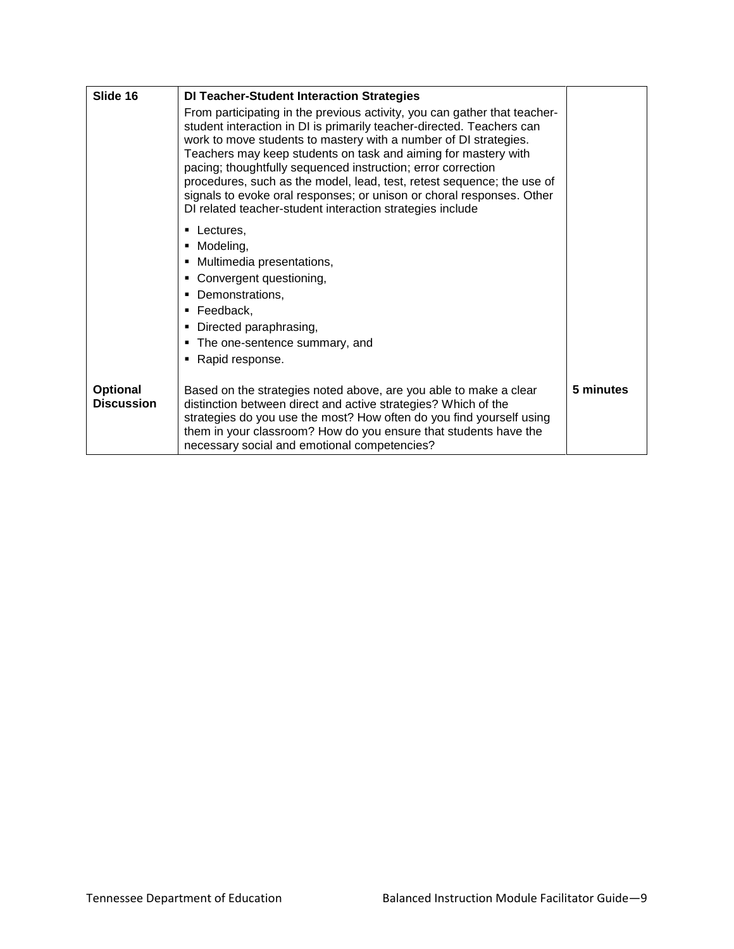| Slide 16                             | <b>DI Teacher-Student Interaction Strategies</b>                                                                                                                                                                                                                                                                                                                                                                                                                                                                                                                         |           |
|--------------------------------------|--------------------------------------------------------------------------------------------------------------------------------------------------------------------------------------------------------------------------------------------------------------------------------------------------------------------------------------------------------------------------------------------------------------------------------------------------------------------------------------------------------------------------------------------------------------------------|-----------|
|                                      | From participating in the previous activity, you can gather that teacher-<br>student interaction in DI is primarily teacher-directed. Teachers can<br>work to move students to mastery with a number of DI strategies.<br>Teachers may keep students on task and aiming for mastery with<br>pacing; thoughtfully sequenced instruction; error correction<br>procedures, such as the model, lead, test, retest sequence; the use of<br>signals to evoke oral responses; or unison or choral responses. Other<br>DI related teacher-student interaction strategies include |           |
|                                      | Lectures,<br>٠<br>Modeling,<br>٠<br>Multimedia presentations,<br>٠<br>Convergent questioning,<br>٠<br>Demonstrations,<br>٠<br>Feedback,<br>٠                                                                                                                                                                                                                                                                                                                                                                                                                             |           |
|                                      | Directed paraphrasing,<br>٠                                                                                                                                                                                                                                                                                                                                                                                                                                                                                                                                              |           |
|                                      | The one-sentence summary, and<br>٠                                                                                                                                                                                                                                                                                                                                                                                                                                                                                                                                       |           |
|                                      | Rapid response.<br>٠                                                                                                                                                                                                                                                                                                                                                                                                                                                                                                                                                     |           |
| <b>Optional</b><br><b>Discussion</b> | Based on the strategies noted above, are you able to make a clear<br>distinction between direct and active strategies? Which of the<br>strategies do you use the most? How often do you find yourself using<br>them in your classroom? How do you ensure that students have the<br>necessary social and emotional competencies?                                                                                                                                                                                                                                          | 5 minutes |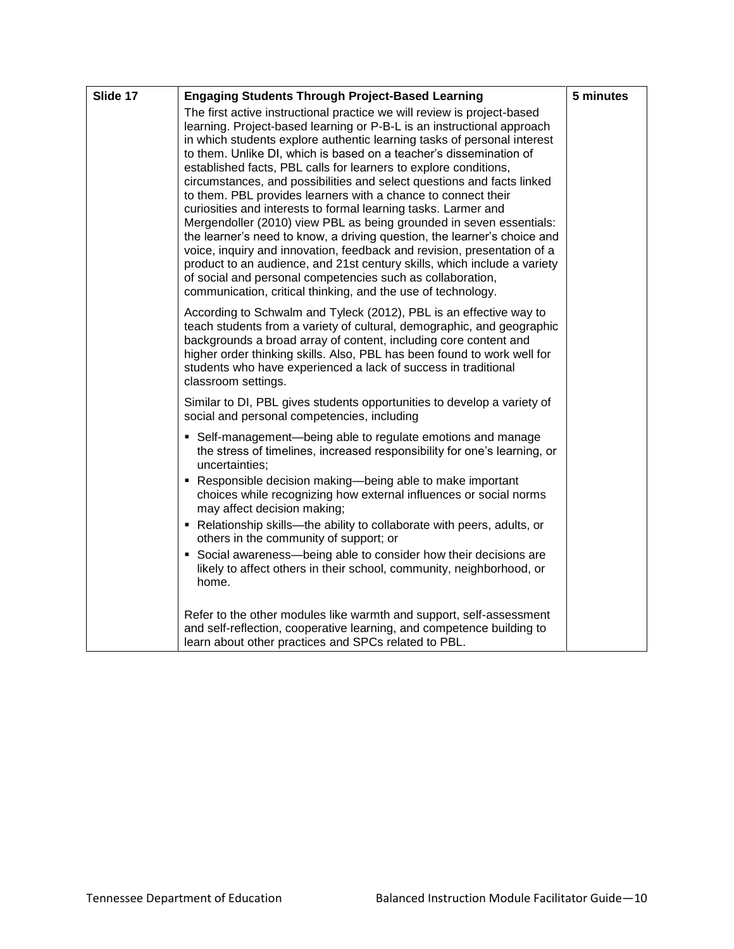| Slide 17 | <b>Engaging Students Through Project-Based Learning</b>                                                                                                                                                                                                                                                                                                                                                                                                                                                                                                                                                                                                                                                                                                                                                                                                                                                                                                                                                                     | 5 minutes |
|----------|-----------------------------------------------------------------------------------------------------------------------------------------------------------------------------------------------------------------------------------------------------------------------------------------------------------------------------------------------------------------------------------------------------------------------------------------------------------------------------------------------------------------------------------------------------------------------------------------------------------------------------------------------------------------------------------------------------------------------------------------------------------------------------------------------------------------------------------------------------------------------------------------------------------------------------------------------------------------------------------------------------------------------------|-----------|
|          | The first active instructional practice we will review is project-based<br>learning. Project-based learning or P-B-L is an instructional approach<br>in which students explore authentic learning tasks of personal interest<br>to them. Unlike DI, which is based on a teacher's dissemination of<br>established facts, PBL calls for learners to explore conditions,<br>circumstances, and possibilities and select questions and facts linked<br>to them. PBL provides learners with a chance to connect their<br>curiosities and interests to formal learning tasks. Larmer and<br>Mergendoller (2010) view PBL as being grounded in seven essentials:<br>the learner's need to know, a driving question, the learner's choice and<br>voice, inquiry and innovation, feedback and revision, presentation of a<br>product to an audience, and 21st century skills, which include a variety<br>of social and personal competencies such as collaboration,<br>communication, critical thinking, and the use of technology. |           |
|          | According to Schwalm and Tyleck (2012), PBL is an effective way to<br>teach students from a variety of cultural, demographic, and geographic<br>backgrounds a broad array of content, including core content and<br>higher order thinking skills. Also, PBL has been found to work well for<br>students who have experienced a lack of success in traditional<br>classroom settings.                                                                                                                                                                                                                                                                                                                                                                                                                                                                                                                                                                                                                                        |           |
|          | Similar to DI, PBL gives students opportunities to develop a variety of<br>social and personal competencies, including                                                                                                                                                                                                                                                                                                                                                                                                                                                                                                                                                                                                                                                                                                                                                                                                                                                                                                      |           |
|          | • Self-management-being able to regulate emotions and manage<br>the stress of timelines, increased responsibility for one's learning, or<br>uncertainties;                                                                                                                                                                                                                                                                                                                                                                                                                                                                                                                                                                                                                                                                                                                                                                                                                                                                  |           |
|          | • Responsible decision making-being able to make important<br>choices while recognizing how external influences or social norms<br>may affect decision making;                                                                                                                                                                                                                                                                                                                                                                                                                                                                                                                                                                                                                                                                                                                                                                                                                                                              |           |
|          | • Relationship skills—the ability to collaborate with peers, adults, or<br>others in the community of support; or                                                                                                                                                                                                                                                                                                                                                                                                                                                                                                                                                                                                                                                                                                                                                                                                                                                                                                           |           |
|          | • Social awareness—being able to consider how their decisions are<br>likely to affect others in their school, community, neighborhood, or<br>home.                                                                                                                                                                                                                                                                                                                                                                                                                                                                                                                                                                                                                                                                                                                                                                                                                                                                          |           |
|          | Refer to the other modules like warmth and support, self-assessment<br>and self-reflection, cooperative learning, and competence building to<br>learn about other practices and SPCs related to PBL.                                                                                                                                                                                                                                                                                                                                                                                                                                                                                                                                                                                                                                                                                                                                                                                                                        |           |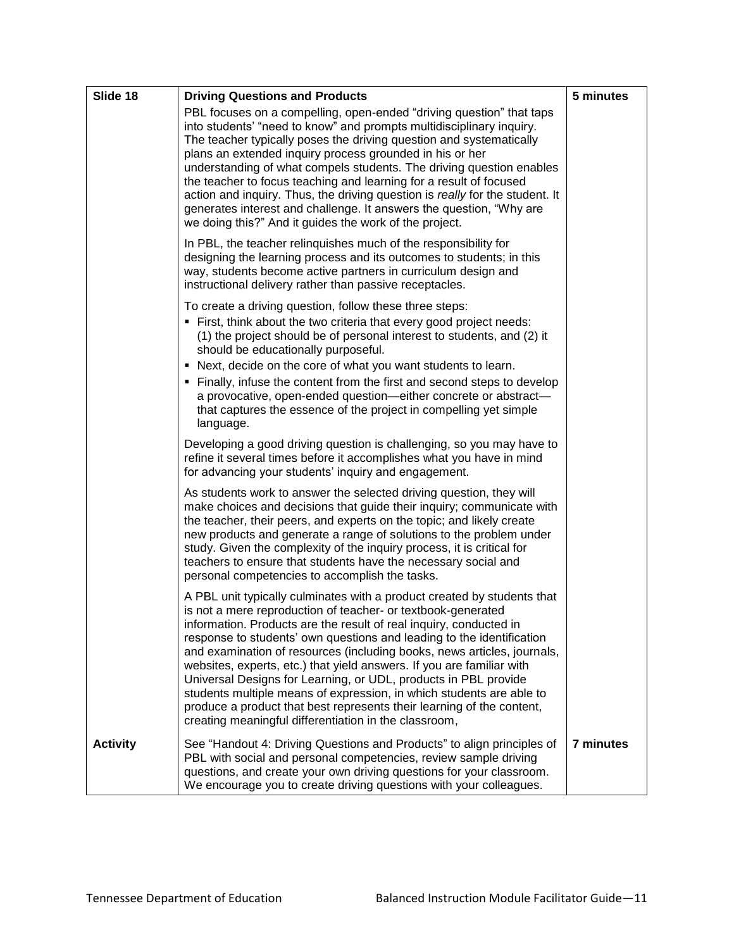| Slide 18        | <b>Driving Questions and Products</b>                                                                                                                                                                                                                                                                                                                                                                                                                                                                                                                                                                                                                                                                                   | 5 minutes |
|-----------------|-------------------------------------------------------------------------------------------------------------------------------------------------------------------------------------------------------------------------------------------------------------------------------------------------------------------------------------------------------------------------------------------------------------------------------------------------------------------------------------------------------------------------------------------------------------------------------------------------------------------------------------------------------------------------------------------------------------------------|-----------|
|                 | PBL focuses on a compelling, open-ended "driving question" that taps<br>into students' "need to know" and prompts multidisciplinary inquiry.<br>The teacher typically poses the driving question and systematically<br>plans an extended inquiry process grounded in his or her<br>understanding of what compels students. The driving question enables<br>the teacher to focus teaching and learning for a result of focused<br>action and inquiry. Thus, the driving question is really for the student. It<br>generates interest and challenge. It answers the question, "Why are<br>we doing this?" And it guides the work of the project.                                                                          |           |
|                 | In PBL, the teacher relinquishes much of the responsibility for<br>designing the learning process and its outcomes to students; in this<br>way, students become active partners in curriculum design and<br>instructional delivery rather than passive receptacles.                                                                                                                                                                                                                                                                                                                                                                                                                                                     |           |
|                 | To create a driving question, follow these three steps:<br>. First, think about the two criteria that every good project needs:<br>(1) the project should be of personal interest to students, and (2) it<br>should be educationally purposeful.                                                                                                                                                                                                                                                                                                                                                                                                                                                                        |           |
|                 | • Next, decide on the core of what you want students to learn.<br>• Finally, infuse the content from the first and second steps to develop<br>a provocative, open-ended question-either concrete or abstract-<br>that captures the essence of the project in compelling yet simple<br>language.                                                                                                                                                                                                                                                                                                                                                                                                                         |           |
|                 | Developing a good driving question is challenging, so you may have to<br>refine it several times before it accomplishes what you have in mind<br>for advancing your students' inquiry and engagement.                                                                                                                                                                                                                                                                                                                                                                                                                                                                                                                   |           |
|                 | As students work to answer the selected driving question, they will<br>make choices and decisions that guide their inquiry; communicate with<br>the teacher, their peers, and experts on the topic; and likely create<br>new products and generate a range of solutions to the problem under<br>study. Given the complexity of the inquiry process, it is critical for<br>teachers to ensure that students have the necessary social and<br>personal competencies to accomplish the tasks.                                                                                                                                                                                                                              |           |
|                 | A PBL unit typically culminates with a product created by students that<br>is not a mere reproduction of teacher- or textbook-generated<br>information. Products are the result of real inquiry, conducted in<br>response to students' own questions and leading to the identification<br>and examination of resources (including books, news articles, journals,<br>websites, experts, etc.) that yield answers. If you are familiar with<br>Universal Designs for Learning, or UDL, products in PBL provide<br>students multiple means of expression, in which students are able to<br>produce a product that best represents their learning of the content,<br>creating meaningful differentiation in the classroom, |           |
| <b>Activity</b> | See "Handout 4: Driving Questions and Products" to align principles of<br>PBL with social and personal competencies, review sample driving<br>questions, and create your own driving questions for your classroom.<br>We encourage you to create driving questions with your colleagues.                                                                                                                                                                                                                                                                                                                                                                                                                                | 7 minutes |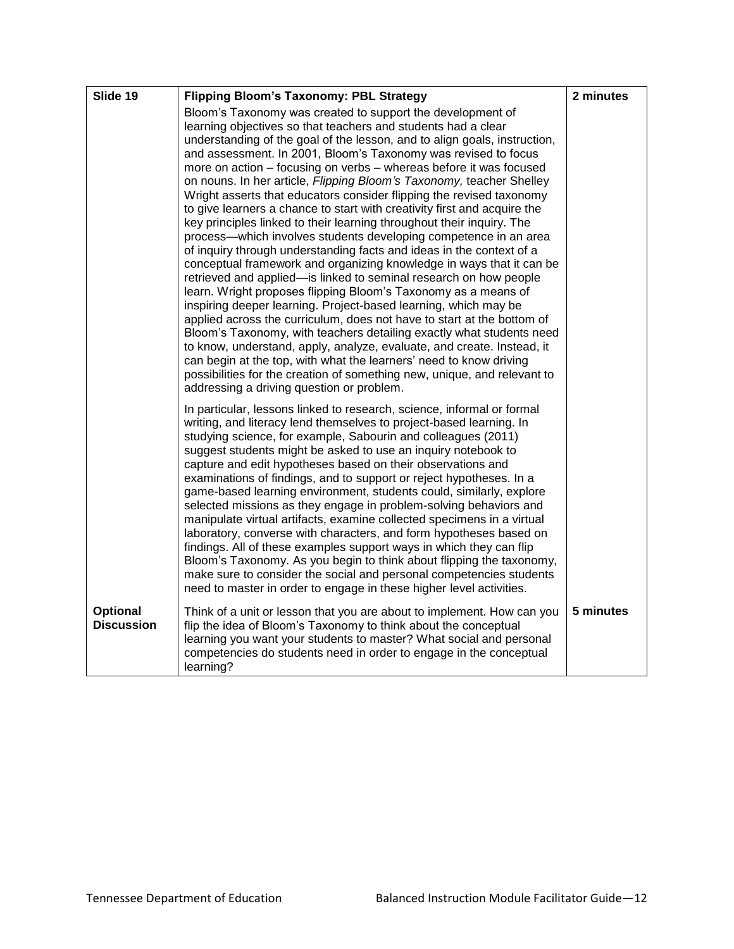| Slide 19                             | <b>Flipping Bloom's Taxonomy: PBL Strategy</b>                                                                                                                                                                                                                                                                                                                                                                                                                                                                                                                                                                                                                                                                                                                                                                                                                                                                                                                                                                                                                                                                                                                                                                                                                                                                                                                                                                                                                                                                 | 2 minutes |
|--------------------------------------|----------------------------------------------------------------------------------------------------------------------------------------------------------------------------------------------------------------------------------------------------------------------------------------------------------------------------------------------------------------------------------------------------------------------------------------------------------------------------------------------------------------------------------------------------------------------------------------------------------------------------------------------------------------------------------------------------------------------------------------------------------------------------------------------------------------------------------------------------------------------------------------------------------------------------------------------------------------------------------------------------------------------------------------------------------------------------------------------------------------------------------------------------------------------------------------------------------------------------------------------------------------------------------------------------------------------------------------------------------------------------------------------------------------------------------------------------------------------------------------------------------------|-----------|
|                                      | Bloom's Taxonomy was created to support the development of<br>learning objectives so that teachers and students had a clear<br>understanding of the goal of the lesson, and to align goals, instruction,<br>and assessment. In 2001, Bloom's Taxonomy was revised to focus<br>more on action - focusing on verbs - whereas before it was focused<br>on nouns. In her article, Flipping Bloom's Taxonomy, teacher Shelley<br>Wright asserts that educators consider flipping the revised taxonomy<br>to give learners a chance to start with creativity first and acquire the<br>key principles linked to their learning throughout their inquiry. The<br>process—which involves students developing competence in an area<br>of inquiry through understanding facts and ideas in the context of a<br>conceptual framework and organizing knowledge in ways that it can be<br>retrieved and applied-is linked to seminal research on how people<br>learn. Wright proposes flipping Bloom's Taxonomy as a means of<br>inspiring deeper learning. Project-based learning, which may be<br>applied across the curriculum, does not have to start at the bottom of<br>Bloom's Taxonomy, with teachers detailing exactly what students need<br>to know, understand, apply, analyze, evaluate, and create. Instead, it<br>can begin at the top, with what the learners' need to know driving<br>possibilities for the creation of something new, unique, and relevant to<br>addressing a driving question or problem. |           |
|                                      | In particular, lessons linked to research, science, informal or formal<br>writing, and literacy lend themselves to project-based learning. In<br>studying science, for example, Sabourin and colleagues (2011)<br>suggest students might be asked to use an inquiry notebook to<br>capture and edit hypotheses based on their observations and<br>examinations of findings, and to support or reject hypotheses. In a<br>game-based learning environment, students could, similarly, explore<br>selected missions as they engage in problem-solving behaviors and<br>manipulate virtual artifacts, examine collected specimens in a virtual<br>laboratory, converse with characters, and form hypotheses based on<br>findings. All of these examples support ways in which they can flip<br>Bloom's Taxonomy. As you begin to think about flipping the taxonomy,<br>make sure to consider the social and personal competencies students<br>need to master in order to engage in these higher level activities.                                                                                                                                                                                                                                                                                                                                                                                                                                                                                                 |           |
| <b>Optional</b><br><b>Discussion</b> | Think of a unit or lesson that you are about to implement. How can you<br>flip the idea of Bloom's Taxonomy to think about the conceptual<br>learning you want your students to master? What social and personal<br>competencies do students need in order to engage in the conceptual<br>learning?                                                                                                                                                                                                                                                                                                                                                                                                                                                                                                                                                                                                                                                                                                                                                                                                                                                                                                                                                                                                                                                                                                                                                                                                            | 5 minutes |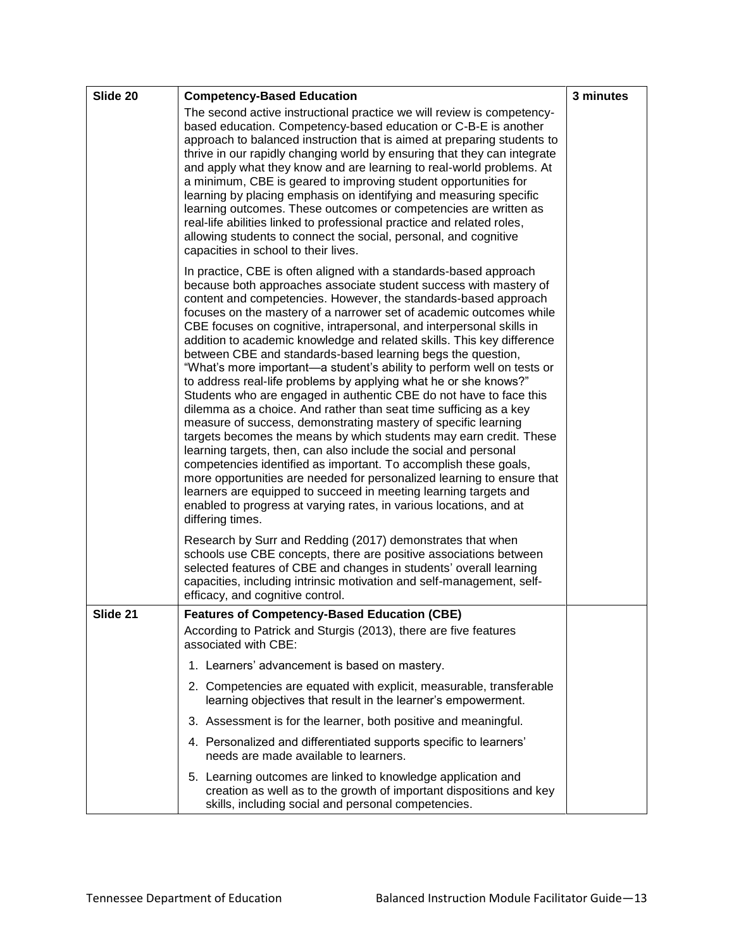| Slide 20 | <b>Competency-Based Education</b>                                                                                                                                                                                                                                                                                                                                                                                                                                                                                                                                                                                                                                                                                                                                                                                                                                                                                                                                                                                                                                                                                                                                                                                                                                                                                  | 3 minutes |
|----------|--------------------------------------------------------------------------------------------------------------------------------------------------------------------------------------------------------------------------------------------------------------------------------------------------------------------------------------------------------------------------------------------------------------------------------------------------------------------------------------------------------------------------------------------------------------------------------------------------------------------------------------------------------------------------------------------------------------------------------------------------------------------------------------------------------------------------------------------------------------------------------------------------------------------------------------------------------------------------------------------------------------------------------------------------------------------------------------------------------------------------------------------------------------------------------------------------------------------------------------------------------------------------------------------------------------------|-----------|
|          | The second active instructional practice we will review is competency-<br>based education. Competency-based education or C-B-E is another<br>approach to balanced instruction that is aimed at preparing students to<br>thrive in our rapidly changing world by ensuring that they can integrate<br>and apply what they know and are learning to real-world problems. At<br>a minimum, CBE is geared to improving student opportunities for<br>learning by placing emphasis on identifying and measuring specific<br>learning outcomes. These outcomes or competencies are written as<br>real-life abilities linked to professional practice and related roles,<br>allowing students to connect the social, personal, and cognitive<br>capacities in school to their lives.                                                                                                                                                                                                                                                                                                                                                                                                                                                                                                                                        |           |
|          | In practice, CBE is often aligned with a standards-based approach<br>because both approaches associate student success with mastery of<br>content and competencies. However, the standards-based approach<br>focuses on the mastery of a narrower set of academic outcomes while<br>CBE focuses on cognitive, intrapersonal, and interpersonal skills in<br>addition to academic knowledge and related skills. This key difference<br>between CBE and standards-based learning begs the question,<br>"What's more important-a student's ability to perform well on tests or<br>to address real-life problems by applying what he or she knows?"<br>Students who are engaged in authentic CBE do not have to face this<br>dilemma as a choice. And rather than seat time sufficing as a key<br>measure of success, demonstrating mastery of specific learning<br>targets becomes the means by which students may earn credit. These<br>learning targets, then, can also include the social and personal<br>competencies identified as important. To accomplish these goals,<br>more opportunities are needed for personalized learning to ensure that<br>learners are equipped to succeed in meeting learning targets and<br>enabled to progress at varying rates, in various locations, and at<br>differing times. |           |
|          | Research by Surr and Redding (2017) demonstrates that when<br>schools use CBE concepts, there are positive associations between<br>selected features of CBE and changes in students' overall learning<br>capacities, including intrinsic motivation and self-management, self-<br>efficacy, and cognitive control.                                                                                                                                                                                                                                                                                                                                                                                                                                                                                                                                                                                                                                                                                                                                                                                                                                                                                                                                                                                                 |           |
| Slide 21 | <b>Features of Competency-Based Education (CBE)</b><br>According to Patrick and Sturgis (2013), there are five features<br>associated with CBE:                                                                                                                                                                                                                                                                                                                                                                                                                                                                                                                                                                                                                                                                                                                                                                                                                                                                                                                                                                                                                                                                                                                                                                    |           |
|          | 1. Learners' advancement is based on mastery.                                                                                                                                                                                                                                                                                                                                                                                                                                                                                                                                                                                                                                                                                                                                                                                                                                                                                                                                                                                                                                                                                                                                                                                                                                                                      |           |
|          | 2. Competencies are equated with explicit, measurable, transferable<br>learning objectives that result in the learner's empowerment.                                                                                                                                                                                                                                                                                                                                                                                                                                                                                                                                                                                                                                                                                                                                                                                                                                                                                                                                                                                                                                                                                                                                                                               |           |
|          | 3. Assessment is for the learner, both positive and meaningful.                                                                                                                                                                                                                                                                                                                                                                                                                                                                                                                                                                                                                                                                                                                                                                                                                                                                                                                                                                                                                                                                                                                                                                                                                                                    |           |
|          | 4. Personalized and differentiated supports specific to learners'<br>needs are made available to learners.                                                                                                                                                                                                                                                                                                                                                                                                                                                                                                                                                                                                                                                                                                                                                                                                                                                                                                                                                                                                                                                                                                                                                                                                         |           |
|          | 5. Learning outcomes are linked to knowledge application and<br>creation as well as to the growth of important dispositions and key<br>skills, including social and personal competencies.                                                                                                                                                                                                                                                                                                                                                                                                                                                                                                                                                                                                                                                                                                                                                                                                                                                                                                                                                                                                                                                                                                                         |           |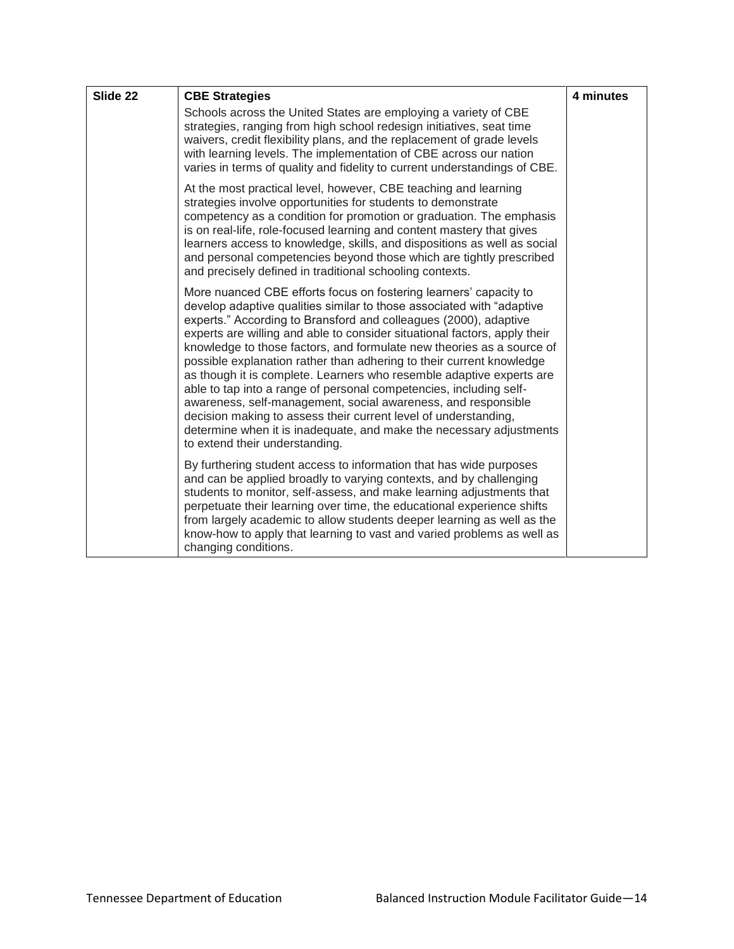| Slide 22 | <b>CBE Strategies</b>                                                                                                                                                                                                                                                                                                                                                                                                                                                                                                                                                                                                                                                                                                                                                                                                                   | 4 minutes |
|----------|-----------------------------------------------------------------------------------------------------------------------------------------------------------------------------------------------------------------------------------------------------------------------------------------------------------------------------------------------------------------------------------------------------------------------------------------------------------------------------------------------------------------------------------------------------------------------------------------------------------------------------------------------------------------------------------------------------------------------------------------------------------------------------------------------------------------------------------------|-----------|
|          | Schools across the United States are employing a variety of CBE<br>strategies, ranging from high school redesign initiatives, seat time<br>waivers, credit flexibility plans, and the replacement of grade levels<br>with learning levels. The implementation of CBE across our nation<br>varies in terms of quality and fidelity to current understandings of CBE.                                                                                                                                                                                                                                                                                                                                                                                                                                                                     |           |
|          | At the most practical level, however, CBE teaching and learning<br>strategies involve opportunities for students to demonstrate<br>competency as a condition for promotion or graduation. The emphasis<br>is on real-life, role-focused learning and content mastery that gives<br>learners access to knowledge, skills, and dispositions as well as social<br>and personal competencies beyond those which are tightly prescribed<br>and precisely defined in traditional schooling contexts.                                                                                                                                                                                                                                                                                                                                          |           |
|          | More nuanced CBE efforts focus on fostering learners' capacity to<br>develop adaptive qualities similar to those associated with "adaptive<br>experts." According to Bransford and colleagues (2000), adaptive<br>experts are willing and able to consider situational factors, apply their<br>knowledge to those factors, and formulate new theories as a source of<br>possible explanation rather than adhering to their current knowledge<br>as though it is complete. Learners who resemble adaptive experts are<br>able to tap into a range of personal competencies, including self-<br>awareness, self-management, social awareness, and responsible<br>decision making to assess their current level of understanding,<br>determine when it is inadequate, and make the necessary adjustments<br>to extend their understanding. |           |
|          | By furthering student access to information that has wide purposes<br>and can be applied broadly to varying contexts, and by challenging<br>students to monitor, self-assess, and make learning adjustments that<br>perpetuate their learning over time, the educational experience shifts<br>from largely academic to allow students deeper learning as well as the<br>know-how to apply that learning to vast and varied problems as well as<br>changing conditions.                                                                                                                                                                                                                                                                                                                                                                  |           |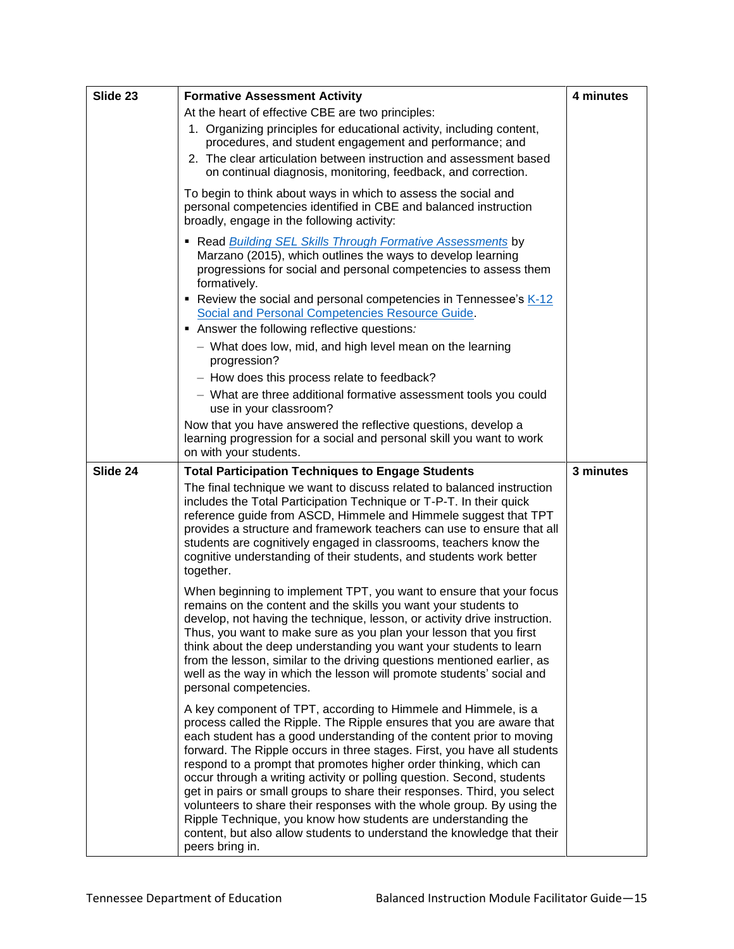| Slide 23 | <b>Formative Assessment Activity</b>                                                                                                                                                                                                                                                                                                                                                                                                                                                                                                                                                                                                                                                                                                                             | 4 minutes |
|----------|------------------------------------------------------------------------------------------------------------------------------------------------------------------------------------------------------------------------------------------------------------------------------------------------------------------------------------------------------------------------------------------------------------------------------------------------------------------------------------------------------------------------------------------------------------------------------------------------------------------------------------------------------------------------------------------------------------------------------------------------------------------|-----------|
|          | At the heart of effective CBE are two principles:                                                                                                                                                                                                                                                                                                                                                                                                                                                                                                                                                                                                                                                                                                                |           |
|          | 1. Organizing principles for educational activity, including content,<br>procedures, and student engagement and performance; and<br>2. The clear articulation between instruction and assessment based<br>on continual diagnosis, monitoring, feedback, and correction.                                                                                                                                                                                                                                                                                                                                                                                                                                                                                          |           |
|          | To begin to think about ways in which to assess the social and<br>personal competencies identified in CBE and balanced instruction<br>broadly, engage in the following activity:                                                                                                                                                                                                                                                                                                                                                                                                                                                                                                                                                                                 |           |
|          | • Read Building SEL Skills Through Formative Assessments by<br>Marzano (2015), which outlines the ways to develop learning<br>progressions for social and personal competencies to assess them<br>formatively.                                                                                                                                                                                                                                                                                                                                                                                                                                                                                                                                                   |           |
|          | Review the social and personal competencies in Tennessee's $K-12$<br><b>Social and Personal Competencies Resource Guide.</b><br>Answer the following reflective questions:                                                                                                                                                                                                                                                                                                                                                                                                                                                                                                                                                                                       |           |
|          | - What does low, mid, and high level mean on the learning<br>progression?                                                                                                                                                                                                                                                                                                                                                                                                                                                                                                                                                                                                                                                                                        |           |
|          | - How does this process relate to feedback?                                                                                                                                                                                                                                                                                                                                                                                                                                                                                                                                                                                                                                                                                                                      |           |
|          | - What are three additional formative assessment tools you could<br>use in your classroom?                                                                                                                                                                                                                                                                                                                                                                                                                                                                                                                                                                                                                                                                       |           |
|          | Now that you have answered the reflective questions, develop a<br>learning progression for a social and personal skill you want to work<br>on with your students.                                                                                                                                                                                                                                                                                                                                                                                                                                                                                                                                                                                                |           |
| Slide 24 | <b>Total Participation Techniques to Engage Students</b>                                                                                                                                                                                                                                                                                                                                                                                                                                                                                                                                                                                                                                                                                                         | 3 minutes |
|          | The final technique we want to discuss related to balanced instruction<br>includes the Total Participation Technique or T-P-T. In their quick<br>reference guide from ASCD, Himmele and Himmele suggest that TPT<br>provides a structure and framework teachers can use to ensure that all<br>students are cognitively engaged in classrooms, teachers know the<br>cognitive understanding of their students, and students work better<br>together.                                                                                                                                                                                                                                                                                                              |           |
|          | When beginning to implement TPT, you want to ensure that your focus<br>remains on the content and the skills you want your students to<br>develop, not having the technique, lesson, or activity drive instruction.<br>Thus, you want to make sure as you plan your lesson that you first<br>think about the deep understanding you want your students to learn<br>from the lesson, similar to the driving questions mentioned earlier, as<br>well as the way in which the lesson will promote students' social and<br>personal competencies.                                                                                                                                                                                                                    |           |
|          | A key component of TPT, according to Himmele and Himmele, is a<br>process called the Ripple. The Ripple ensures that you are aware that<br>each student has a good understanding of the content prior to moving<br>forward. The Ripple occurs in three stages. First, you have all students<br>respond to a prompt that promotes higher order thinking, which can<br>occur through a writing activity or polling question. Second, students<br>get in pairs or small groups to share their responses. Third, you select<br>volunteers to share their responses with the whole group. By using the<br>Ripple Technique, you know how students are understanding the<br>content, but also allow students to understand the knowledge that their<br>peers bring in. |           |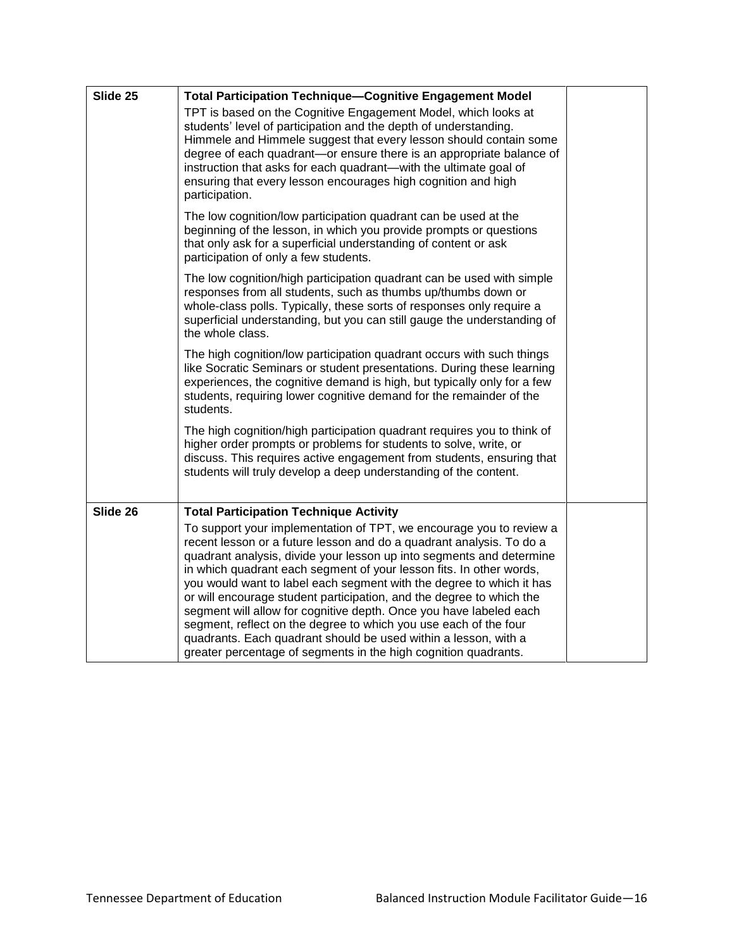| Slide 25 | <b>Total Participation Technique-Cognitive Engagement Model</b>                                                                                                                                                                                                                                                                                                                                                                                                                                                                                                                                                                                                                                                            |  |
|----------|----------------------------------------------------------------------------------------------------------------------------------------------------------------------------------------------------------------------------------------------------------------------------------------------------------------------------------------------------------------------------------------------------------------------------------------------------------------------------------------------------------------------------------------------------------------------------------------------------------------------------------------------------------------------------------------------------------------------------|--|
|          | TPT is based on the Cognitive Engagement Model, which looks at<br>students' level of participation and the depth of understanding.<br>Himmele and Himmele suggest that every lesson should contain some<br>degree of each quadrant-or ensure there is an appropriate balance of<br>instruction that asks for each quadrant-with the ultimate goal of<br>ensuring that every lesson encourages high cognition and high<br>participation.                                                                                                                                                                                                                                                                                    |  |
|          | The low cognition/low participation quadrant can be used at the<br>beginning of the lesson, in which you provide prompts or questions<br>that only ask for a superficial understanding of content or ask<br>participation of only a few students.                                                                                                                                                                                                                                                                                                                                                                                                                                                                          |  |
|          | The low cognition/high participation quadrant can be used with simple<br>responses from all students, such as thumbs up/thumbs down or<br>whole-class polls. Typically, these sorts of responses only require a<br>superficial understanding, but you can still gauge the understanding of<br>the whole class.                                                                                                                                                                                                                                                                                                                                                                                                             |  |
|          | The high cognition/low participation quadrant occurs with such things<br>like Socratic Seminars or student presentations. During these learning<br>experiences, the cognitive demand is high, but typically only for a few<br>students, requiring lower cognitive demand for the remainder of the<br>students.                                                                                                                                                                                                                                                                                                                                                                                                             |  |
|          | The high cognition/high participation quadrant requires you to think of<br>higher order prompts or problems for students to solve, write, or<br>discuss. This requires active engagement from students, ensuring that<br>students will truly develop a deep understanding of the content.                                                                                                                                                                                                                                                                                                                                                                                                                                  |  |
| Slide 26 | <b>Total Participation Technique Activity</b>                                                                                                                                                                                                                                                                                                                                                                                                                                                                                                                                                                                                                                                                              |  |
|          | To support your implementation of TPT, we encourage you to review a<br>recent lesson or a future lesson and do a quadrant analysis. To do a<br>quadrant analysis, divide your lesson up into segments and determine<br>in which quadrant each segment of your lesson fits. In other words,<br>you would want to label each segment with the degree to which it has<br>or will encourage student participation, and the degree to which the<br>segment will allow for cognitive depth. Once you have labeled each<br>segment, reflect on the degree to which you use each of the four<br>quadrants. Each quadrant should be used within a lesson, with a<br>greater percentage of segments in the high cognition quadrants. |  |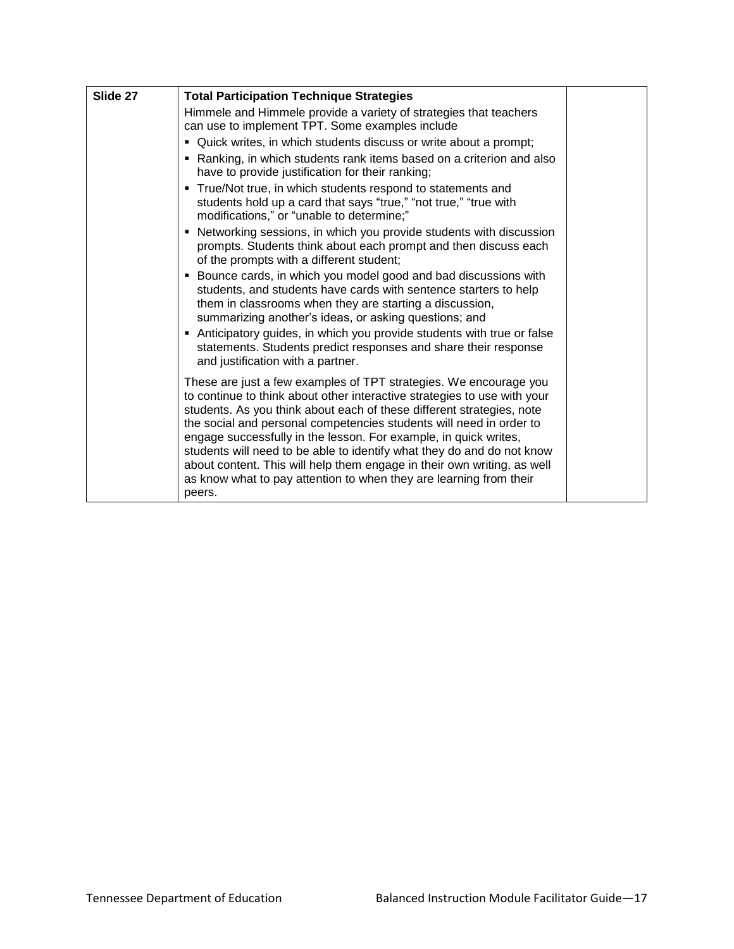| Slide 27 | <b>Total Participation Technique Strategies</b>                                                                                                                                                                                                                                                                                                                                                                                                                                                                                                                                                        |  |
|----------|--------------------------------------------------------------------------------------------------------------------------------------------------------------------------------------------------------------------------------------------------------------------------------------------------------------------------------------------------------------------------------------------------------------------------------------------------------------------------------------------------------------------------------------------------------------------------------------------------------|--|
|          | Himmele and Himmele provide a variety of strategies that teachers<br>can use to implement TPT. Some examples include                                                                                                                                                                                                                                                                                                                                                                                                                                                                                   |  |
|          | " Quick writes, in which students discuss or write about a prompt;                                                                                                                                                                                                                                                                                                                                                                                                                                                                                                                                     |  |
|          | Ranking, in which students rank items based on a criterion and also<br>٠<br>have to provide justification for their ranking;                                                                                                                                                                                                                                                                                                                                                                                                                                                                           |  |
|          | • True/Not true, in which students respond to statements and<br>students hold up a card that says "true," "not true," "true with<br>modifications," or "unable to determine;"                                                                                                                                                                                                                                                                                                                                                                                                                          |  |
|          | Networking sessions, in which you provide students with discussion<br>٠<br>prompts. Students think about each prompt and then discuss each<br>of the prompts with a different student;                                                                                                                                                                                                                                                                                                                                                                                                                 |  |
|          | • Bounce cards, in which you model good and bad discussions with<br>students, and students have cards with sentence starters to help<br>them in classrooms when they are starting a discussion,<br>summarizing another's ideas, or asking questions; and                                                                                                                                                                                                                                                                                                                                               |  |
|          | Anticipatory guides, in which you provide students with true or false<br>statements. Students predict responses and share their response<br>and justification with a partner.                                                                                                                                                                                                                                                                                                                                                                                                                          |  |
|          | These are just a few examples of TPT strategies. We encourage you<br>to continue to think about other interactive strategies to use with your<br>students. As you think about each of these different strategies, note<br>the social and personal competencies students will need in order to<br>engage successfully in the lesson. For example, in quick writes,<br>students will need to be able to identify what they do and do not know<br>about content. This will help them engage in their own writing, as well<br>as know what to pay attention to when they are learning from their<br>peers. |  |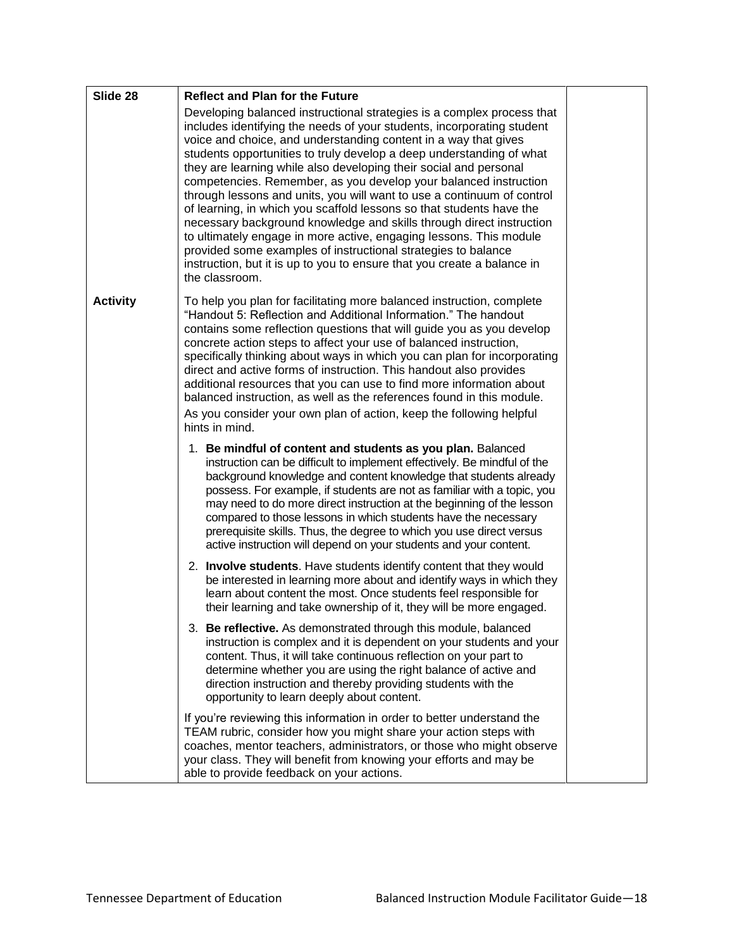| Slide 28        | <b>Reflect and Plan for the Future</b>                                                                                                                                                                                                                                                                                                                                                                                                                                                                                                                                                                                                                                                                                                                                                                                                                                                             |  |
|-----------------|----------------------------------------------------------------------------------------------------------------------------------------------------------------------------------------------------------------------------------------------------------------------------------------------------------------------------------------------------------------------------------------------------------------------------------------------------------------------------------------------------------------------------------------------------------------------------------------------------------------------------------------------------------------------------------------------------------------------------------------------------------------------------------------------------------------------------------------------------------------------------------------------------|--|
|                 | Developing balanced instructional strategies is a complex process that<br>includes identifying the needs of your students, incorporating student<br>voice and choice, and understanding content in a way that gives<br>students opportunities to truly develop a deep understanding of what<br>they are learning while also developing their social and personal<br>competencies. Remember, as you develop your balanced instruction<br>through lessons and units, you will want to use a continuum of control<br>of learning, in which you scaffold lessons so that students have the<br>necessary background knowledge and skills through direct instruction<br>to ultimately engage in more active, engaging lessons. This module<br>provided some examples of instructional strategies to balance<br>instruction, but it is up to you to ensure that you create a balance in<br>the classroom. |  |
| <b>Activity</b> | To help you plan for facilitating more balanced instruction, complete<br>"Handout 5: Reflection and Additional Information." The handout<br>contains some reflection questions that will guide you as you develop<br>concrete action steps to affect your use of balanced instruction,<br>specifically thinking about ways in which you can plan for incorporating<br>direct and active forms of instruction. This handout also provides<br>additional resources that you can use to find more information about<br>balanced instruction, as well as the references found in this module.<br>As you consider your own plan of action, keep the following helpful<br>hints in mind.                                                                                                                                                                                                                 |  |
|                 | 1. Be mindful of content and students as you plan. Balanced<br>instruction can be difficult to implement effectively. Be mindful of the<br>background knowledge and content knowledge that students already<br>possess. For example, if students are not as familiar with a topic, you<br>may need to do more direct instruction at the beginning of the lesson<br>compared to those lessons in which students have the necessary<br>prerequisite skills. Thus, the degree to which you use direct versus<br>active instruction will depend on your students and your content.                                                                                                                                                                                                                                                                                                                     |  |
|                 | 2. Involve students. Have students identify content that they would<br>be interested in learning more about and identify ways in which they<br>learn about content the most. Once students feel responsible for<br>their learning and take ownership of it, they will be more engaged.                                                                                                                                                                                                                                                                                                                                                                                                                                                                                                                                                                                                             |  |
|                 | 3. Be reflective. As demonstrated through this module, balanced<br>instruction is complex and it is dependent on your students and your<br>content. Thus, it will take continuous reflection on your part to<br>determine whether you are using the right balance of active and<br>direction instruction and thereby providing students with the<br>opportunity to learn deeply about content.                                                                                                                                                                                                                                                                                                                                                                                                                                                                                                     |  |
|                 | If you're reviewing this information in order to better understand the<br>TEAM rubric, consider how you might share your action steps with<br>coaches, mentor teachers, administrators, or those who might observe<br>your class. They will benefit from knowing your efforts and may be<br>able to provide feedback on your actions.                                                                                                                                                                                                                                                                                                                                                                                                                                                                                                                                                              |  |